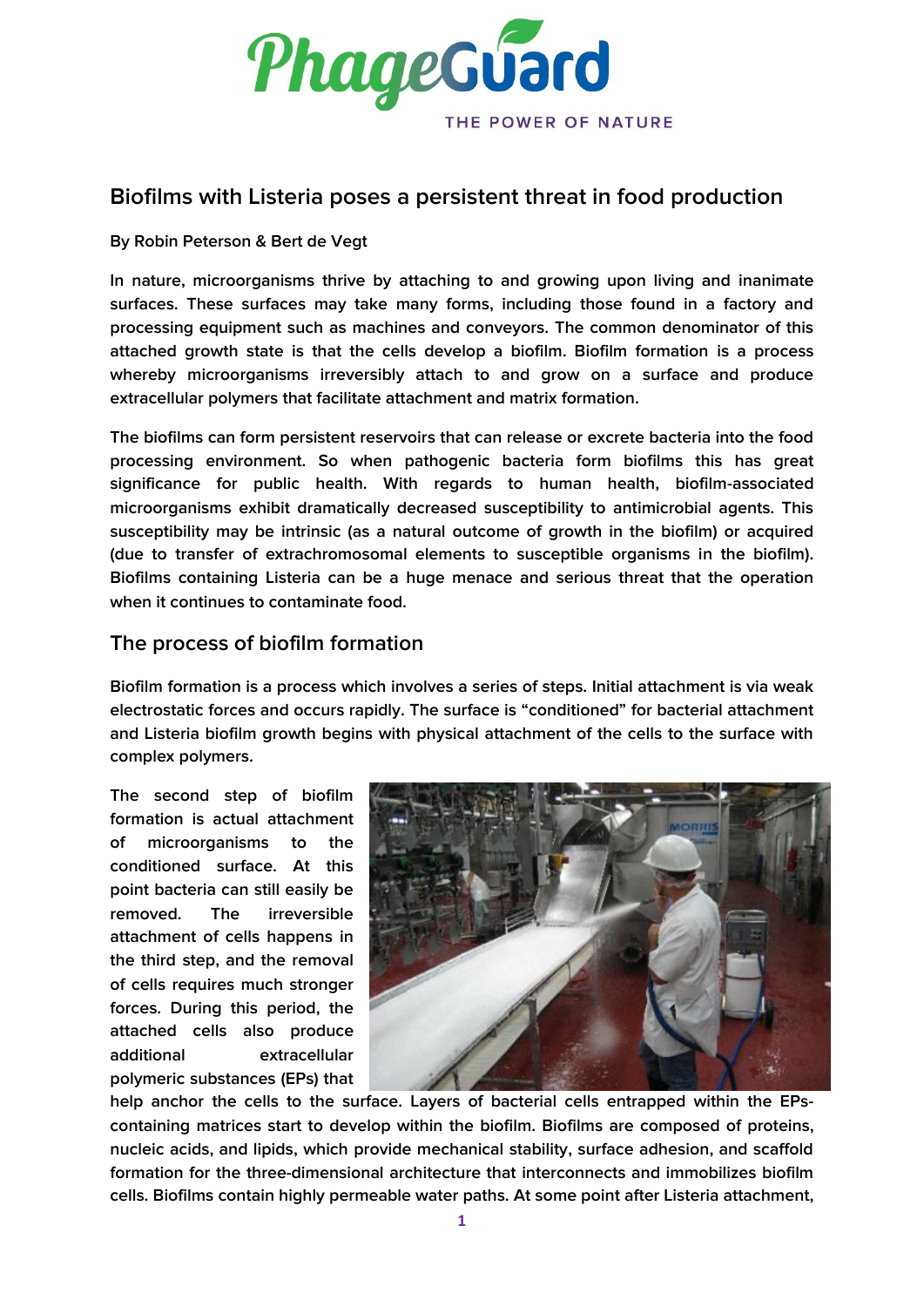

# **Biofilms with Listeria poses a persistent threat in food production**

**By Robin Peterson & Bert de Vegt**

**In nature, microorganisms thrive by attaching to and growing upon living and inanimate surfaces. These surfaces may take many forms, including those found in a factory and processing equipment such as machines and conveyors. The common denominator of this attached growth state is that the cells develop a biofilm. Biofilm formation is a process whereby microorganisms irreversibly attach to and grow on a surface and produce extracellular polymers that facilitate attachment and matrix formation.**

**The biofilms can form persistent reservoirs that can release or excrete bacteria into the food processing environment. So when pathogenic bacteria form biofilms this has great significance for public health. With regards to human health, biofilm-associated microorganisms exhibit dramatically decreased susceptibility to antimicrobial agents. This susceptibility may be intrinsic (as a natural outcome of growth in the biofilm) or acquired (due to transfer of extrachromosomal elements to susceptible organisms in the biofilm). Biofilms containing Listeria can be a huge menace and serious threat that the operation when it continues to contaminate food.** 

## **The process of biofilm formation**

**Biofilm formation is a process which involves a series of steps. Initial attachment is via weak electrostatic forces and occurs rapidly. The surface is "conditioned" for bacterial attachment and Listeria biofilm growth begins with physical attachment of the cells to the surface with complex polymers.** 

**The second step of biofilm formation is actual attachment of microorganisms to the conditioned surface. At this point bacteria can still easily be removed. The irreversible attachment of cells happens in the third step, and the removal of cells requires much stronger forces. During this period, the attached cells also produce additional extracellular polymeric substances (EPs) that** 



**help anchor the cells to the surface. Layers of bacterial cells entrapped within the EPscontaining matrices start to develop within the biofilm. Biofilms are composed of proteins, nucleic acids, and lipids, which provide mechanical stability, surface adhesion, and scaffold formation for the three-dimensional architecture that interconnects and immobilizes biofilm cells. Biofilms contain highly permeable water paths. At some point after Listeria attachment,**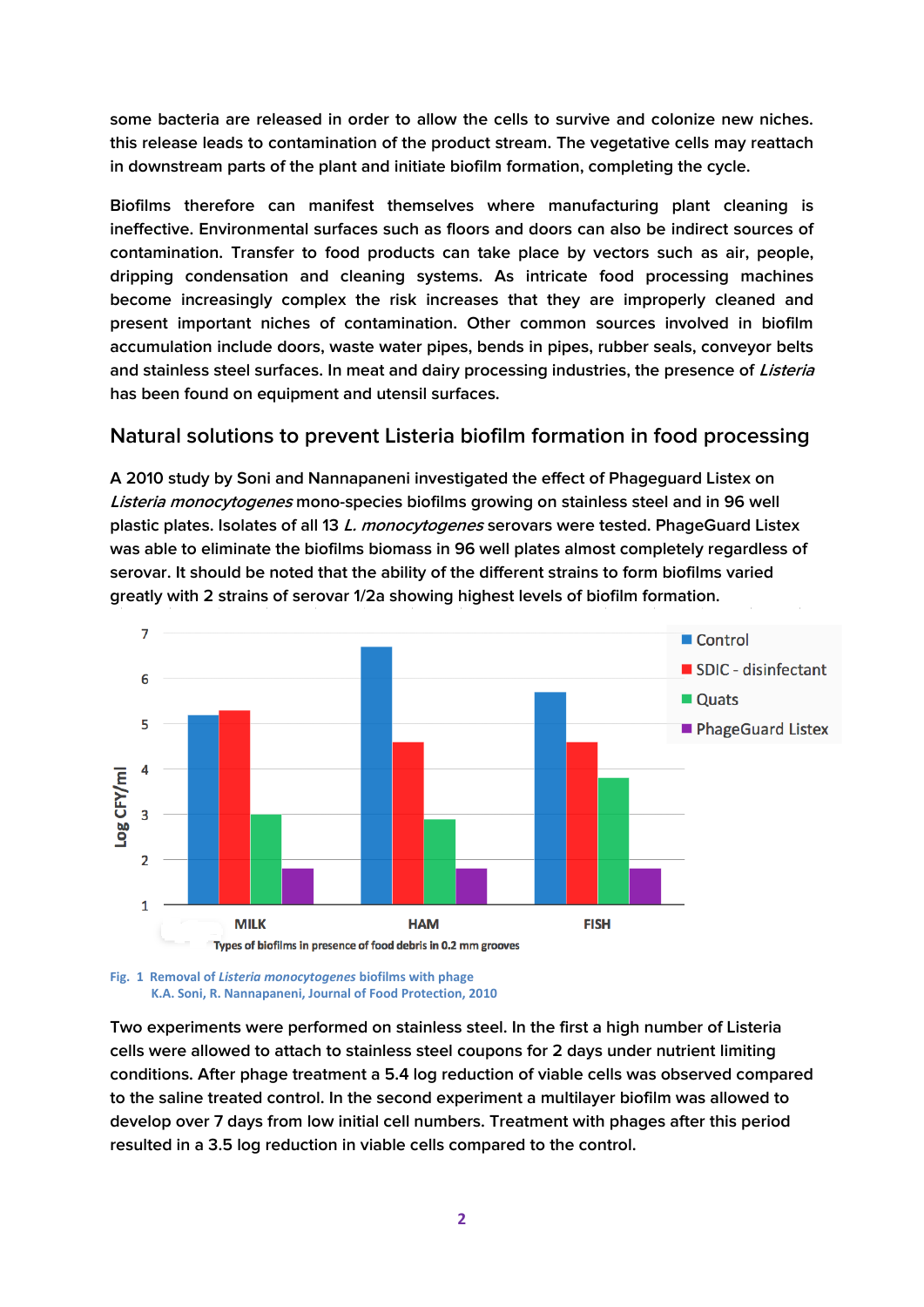**some bacteria are released in order to allow the cells to survive and colonize new niches. this release leads to contamination of the product stream. The vegetative cells may reattach in downstream parts of the plant and initiate biofilm formation, completing the cycle.** 

**Biofilms therefore can manifest themselves where manufacturing plant cleaning is ineffective. Environmental surfaces such as floors and doors can also be indirect sources of contamination. Transfer to food products can take place by vectors such as air, people, dripping condensation and cleaning systems. As intricate food processing machines become increasingly complex the risk increases that they are improperly cleaned and present important niches of contamination. Other common sources involved in biofilm accumulation include doors, waste water pipes, bends in pipes, rubber seals, conveyor belts and stainless steel surfaces. In meat and dairy processing industries, the presence of Listeria has been found on equipment and utensil surfaces.**

### **Natural solutions to prevent Listeria biofilm formation in food processing**

**A 2010 study by Soni and Nannapaneni investigated the effect of Phageguard Listex on Listeria monocytogenes mono-species biofilms growing on stainless steel and in 96 well plastic plates. Isolates of all 13 L. monocytogenes serovars were tested. PhageGuard Listex was able to eliminate the biofilms biomass in 96 well plates almost completely regardless of serovar. It should be noted that the ability of the different strains to form biofilms varied greatly with 2 strains of serovar 1/2a showing highest levels of biofilm formation.** 



#### **Fig. 1 Removal of** *Listeria monocytogenes* **biofilms with phage K.A. Soni, R. Nannapaneni, Journal of Food Protection, 2010**

**Two experiments were performed on stainless steel. In the first a high number of Listeria cells were allowed to attach to stainless steel coupons for 2 days under nutrient limiting conditions. After phage treatment a 5.4 log reduction of viable cells was observed compared to the saline treated control. In the second experiment a multilayer biofilm was allowed to develop over 7 days from low initial cell numbers. Treatment with phages after this period resulted in a 3.5 log reduction in viable cells compared to the control.**